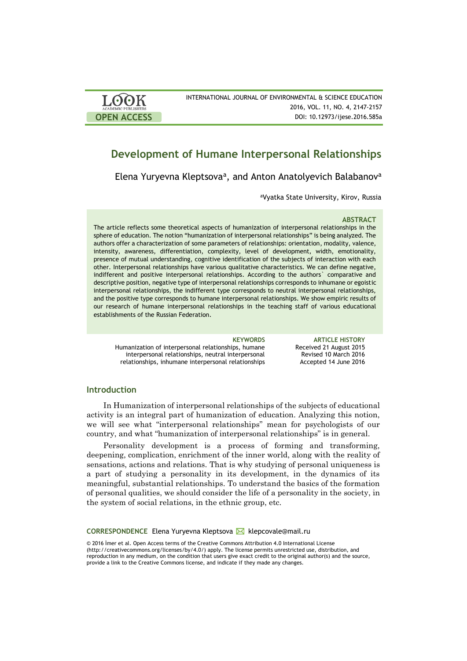| <b>LOOK</b>                | INTERNATIONAL JOURNAL OF ENVIRONMENTAL & SCIENCE EDUCATION |
|----------------------------|------------------------------------------------------------|
| <b>ACADEMIC PUBLISHERS</b> | 2016, VOL. 11, NO. 4, 2147-2157                            |
| <b>OPEN ACCESS</b>         | DOI: 10.12973/ijese.2016.585a                              |

# **Development of Humane Interpersonal Relationships**

Elena Yuryevna Kleptsova<sup>a</sup>, and Anton Anatolyevich Balabanov<sup>a</sup>

<sup>a</sup>Vyatka State University, Kirov, Russia

### **ABSTRACT**

The article reflects some theoretical aspects of humanization of interpersonal relationships in the sphere of education. The notion "humanization of interpersonal relationships" is being analyzed. The authors offer a characterization of some parameters of relationships: orientation, modality, valence, intensity, awareness, differentiation, complexity, level of development, width, emotionality, presence of mutual understanding, cognitive identification of the subjects of interaction with each other. Interpersonal relationships have various qualitative characteristics. We can define negative, indifferent and positive interpersonal relationships. According to the authors` comparative and descriptive position, negative type of interpersonal relationships corresponds to inhumane or egoistic interpersonal relationships, the indifferent type corresponds to neutral interpersonal relationships, and the positive type corresponds to humane interpersonal relationships. We show empiric results of our research of humane interpersonal relationships in the teaching staff of various educational establishments of the Russian Federation.

Humanization of interpersonal relationships, humane interpersonal relationships, neutral interpersonal relationships, inhumane interpersonal relationships

**KEYWORDS ARTICLE HISTORY** Received 21 August 2015 Revised 10 March 2016 Accepted 14 June 2016

## **Introduction**

In Humanization of interpersonal relationships of the subjects of educational activity is an integral part of humanization of education. Analyzing this notion, we will see what "interpersonal relationships" mean for psychologists of our country, and what "humanization of interpersonal relationships" is in general.

Personality development is a process of forming and transforming, deepening, complication, enrichment of the inner world, along with the reality of sensations, actions and relations. That is why studying of personal uniqueness is a part of studying a personality in its development, in the dynamics of its meaningful, substantial relationships. To understand the basics of the formation of personal qualities, we should consider the life of a personality in the society, in the system of social relations, in the ethnic group, etc.

**CORRESPONDENCE** Elena Yuryevna Kleptsova **⊠** klepcovale@mail.ru

© 2016 İmer et al. Open Access terms of the Creative Commons Attribution 4.0 International License (http://creativecommons.org/licenses/by/4.0/) apply. The license permits unrestricted use, distribution, and reproduction in any medium, on the condition that users give exact credit to the original author(s) and the source, provide a link to the Creative Commons license, and indicate if they made any changes.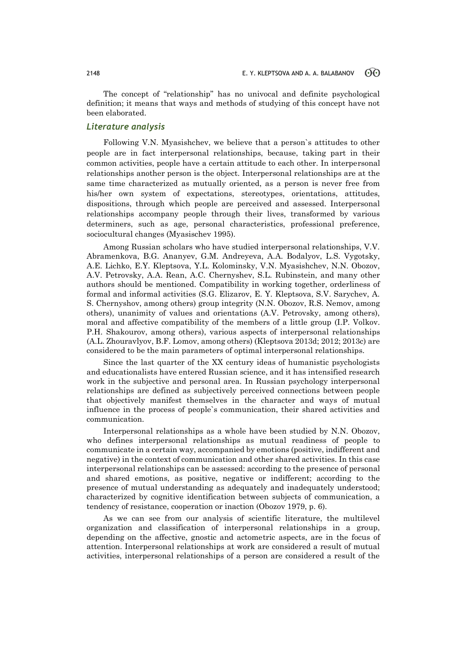The concept of "relationship" has no univocal and definite psychological definition; it means that ways and methods of studying of this concept have not been elaborated.

# *Literature analysis*

Following V.N. Myasishchev, we believe that a person`s attitudes to other people are in fact interpersonal relationships, because, taking part in their common activities, people have a certain attitude to each other. In interpersonal relationships another person is the object. Interpersonal relationships are at the same time characterized as mutually oriented, as a person is never free from his/her own system of expectations, stereotypes, orientations, attitudes, dispositions, through which people are perceived and assessed. Interpersonal relationships accompany people through their lives, transformed by various determiners, such as age, personal characteristics, professional preference, sociocultural changes (Myasischev 1995).

Among Russian scholars who have studied interpersonal relationships, V.V. Abramenkova, B.G. Ananyev, G.M. Andreyeva, A.A. Bodalyov, L.S. Vygotsky, A.E. Lichko, E.Y. Kleptsova, Y.L. Kolominsky, V.N. Myasishchev, N.N. Obozov, A.V. Petrovsky, A.A. Rean, A.C. Chernyshev, S.L. Rubinstein, and many other authors should be mentioned. Compatibility in working together, orderliness of formal and informal activities (S.G. Elizarov, E. Y. Kleptsova, S.V. Sarychev, A. S. Chernyshov, among others) group integrity (N.N. Obozov, R.S. Nemov, among others), unanimity of values and orientations (A.V. Petrovsky, among others), moral and affective compatibility of the members of a little group (I.P. Volkov. P.H. Shakourov, among others), various aspects of interpersonal relationships (A.L. Zhouravlyov, B.F. Lomov, among others) (Kleptsova 2013d; 2012; 2013c) are considered to be the main parameters of optimal interpersonal relationships.

Since the last quarter of the XX century ideas of humanistic psychologists and educationalists have entered Russian science, and it has intensified research work in the subjective and personal area. In Russian psychology interpersonal relationships are defined as subjectively perceived connections between people that objectively manifest themselves in the character and ways of mutual influence in the process of people`s communication, their shared activities and communication.

Interpersonal relationships as a whole have been studied by N.N. Obozov, who defines interpersonal relationships as mutual readiness of people to communicate in a certain way, accompanied by emotions (positive, indifferent and negative) in the context of communication and other shared activities. In this case interpersonal relationships can be assessed: according to the presence of personal and shared emotions, as positive, negative or indifferent; according to the presence of mutual understanding as adequately and inadequately understood; characterized by cognitive identification between subjects of communication, a tendency of resistance, cooperation or inaction (Obozov 1979, p. 6).

As we can see from our analysis of scientific literature, the multilevel organization and classification of interpersonal relationships in a group, depending on the affective, gnostic and actometric aspects, are in the focus of attention. Interpersonal relationships at work are considered a result of mutual activities, interpersonal relationships of a person are considered a result of the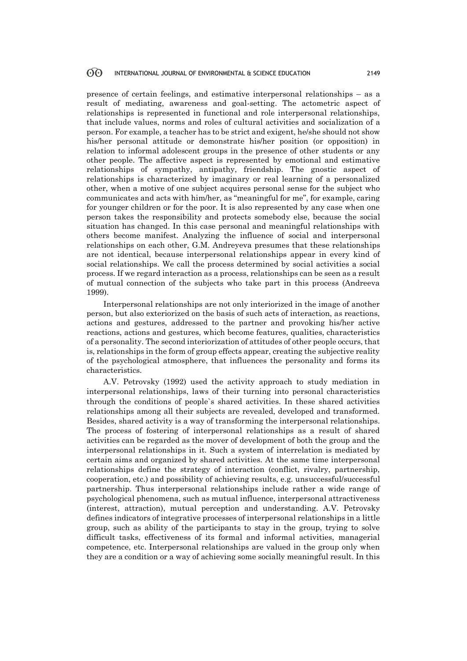presence of certain feelings, and estimative interpersonal relationships – as a result of mediating, awareness and goal-setting. The actometric aspect of relationships is represented in functional and role interpersonal relationships, that include values, norms and roles of cultural activities and socialization of a person. For example, a teacher has to be strict and exigent, he/she should not show his/her personal attitude or demonstrate his/her position (or opposition) in relation to informal adolescent groups in the presence of other students or any other people. The affective aspect is represented by emotional and estimative relationships of sympathy, antipathy, friendship. The gnostic aspect of relationships is characterized by imaginary or real learning of a personalized other, when a motive of one subject acquires personal sense for the subject who communicates and acts with him/her, as "meaningful for me", for example, caring for younger children or for the poor. It is also represented by any case when one person takes the responsibility and protects somebody else, because the social situation has changed. In this case personal and meaningful relationships with others become manifest. Analyzing the influence of social and interpersonal relationships on each other, G.M. Andreyeva presumes that these relationships are not identical, because interpersonal relationships appear in every kind of social relationships. We call the process determined by social activities a social process. If we regard interaction as a process, relationships can be seen as a result of mutual connection of the subjects who take part in this process (Andreeva 1999).

Interpersonal relationships are not only interiorized in the image of another person, but also exteriorized on the basis of such acts of interaction, as reactions, actions and gestures, addressed to the partner and provoking his/her active reactions, actions and gestures, which become features, qualities, characteristics of a personality. The second interiorization of attitudes of other people occurs, that is, relationships in the form of group effects appear, creating the subjective reality of the psychological atmosphere, that influences the personality and forms its characteristics.

A.V. Petrovsky (1992) used the activity approach to study mediation in interpersonal relationships, laws of their turning into personal characteristics through the conditions of people`s shared activities. In these shared activities relationships among all their subjects are revealed, developed and transformed. Besides, shared activity is a way of transforming the interpersonal relationships. The process of fostering of interpersonal relationships as a result of shared activities can be regarded as the mover of development of both the group and the interpersonal relationships in it. Such a system of interrelation is mediated by certain aims and organized by shared activities. At the same time interpersonal relationships define the strategy of interaction (conflict, rivalry, partnership, cooperation, etc.) and possibility of achieving results, e.g. unsuccessful/successful partnership. Thus interpersonal relationships include rather a wide range of psychological phenomena, such as mutual influence, interpersonal attractiveness (interest, attraction), mutual perception and understanding. A.V. Petrovsky defines indicators of integrative processes of interpersonal relationships in a little group, such as ability of the participants to stay in the group, trying to solve difficult tasks, effectiveness of its formal and informal activities, managerial competence, etc. Interpersonal relationships are valued in the group only when they are a condition or a way of achieving some socially meaningful result. In this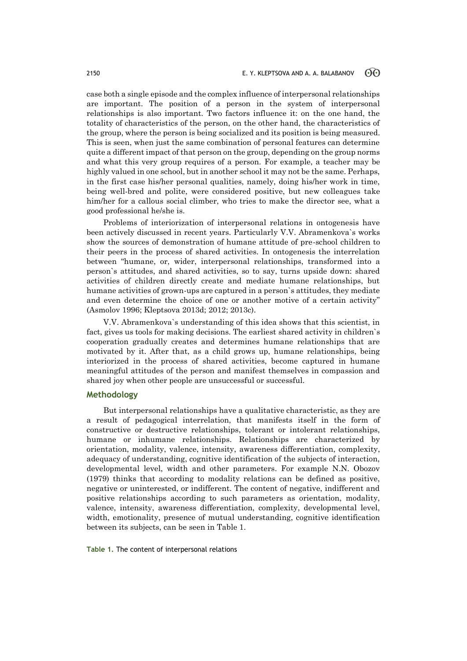case both a single episode and the complex influence of interpersonal relationships are important. The position of a person in the system of interpersonal relationships is also important. Two factors influence it: on the one hand, the totality of characteristics of the person, on the other hand, the characteristics of the group, where the person is being socialized and its position is being measured. This is seen, when just the same combination of personal features can determine quite a different impact of that person on the group, depending on the group norms and what this very group requires of a person. For example, a teacher may be highly valued in one school, but in another school it may not be the same. Perhaps, in the first case his/her personal qualities, namely, doing his/her work in time, being well-bred and polite, were considered positive, but new colleagues take him/her for a callous social climber, who tries to make the director see, what a good professional he/she is.

Problems of interiorization of interpersonal relations in ontogenesis have been actively discussed in recent years. Particularly V.V. Abramenkova`s works show the sources of demonstration of humane attitude of pre-school children to their peers in the process of shared activities. In ontogenesis the interrelation between "humane, or, wider, interpersonal relationships, transformed into a person`s attitudes, and shared activities, so to say, turns upside down: shared activities of children directly create and mediate humane relationships, but humane activities of grown-ups are captured in a person`s attitudes, they mediate and even determine the choice of one or another motive of a certain activity" (Asmolov 1996; Kleptsova 2013d; 2012; 2013c).

V.V. Abramenkova`s understanding of this idea shows that this scientist, in fact, gives us tools for making decisions. The earliest shared activity in children`s cooperation gradually creates and determines humane relationships that are motivated by it. After that, as a child grows up, humane relationships, being interiorized in the process of shared activities, become captured in humane meaningful attitudes of the person and manifest themselves in compassion and shared joy when other people are unsuccessful or successful.

# **Methodology**

But interpersonal relationships have a qualitative characteristic, as they are a result of pedagogical interrelation, that manifests itself in the form of constructive or destructive relationships, tolerant or intolerant relationships, humane or inhumane relationships. Relationships are characterized by orientation, modality, valence, intensity, awareness differentiation, complexity, adequacy of understanding, cognitive identification of the subjects of interaction, developmental level, width and other parameters. For example N.N. Obozov (1979) thinks that according to modality relations can be defined as positive, negative or uninterested, or indifferent. The content of negative, indifferent and positive relationships according to such parameters as orientation, modality, valence, intensity, awareness differentiation, complexity, developmental level, width, emotionality, presence of mutual understanding, cognitive identification between its subjects, can be seen in Table 1.

**Table 1.** The content of interpersonal relations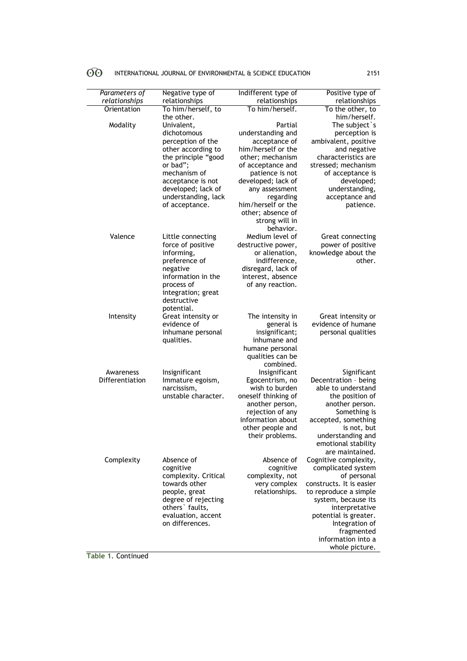| $60^{\circ}$ | INTERNATIONAL JOURNAL OF ENVIRONMENTAL & SCIENCE EDUCATION | 2151 |
|--------------|------------------------------------------------------------|------|
|              |                                                            |      |

| Parameters of   | Negative type of                       | Indifferent type of                   | Positive type of                           |
|-----------------|----------------------------------------|---------------------------------------|--------------------------------------------|
| relationships   | relationships                          | relationships                         | relationships                              |
| Orientation     | To him/herself, to                     | To him/herself.                       | To the other, to                           |
|                 | the other.                             |                                       | him/herself.                               |
| Modality        | Univalent.                             | Partial                               | The subject `s                             |
|                 | dichotomous                            | understanding and                     | perception is                              |
|                 | perception of the                      | acceptance of                         | ambivalent, positive                       |
|                 | other according to                     | him/herself or the                    | and negative<br>characteristics are        |
|                 | the principle "good<br>or bad";        | other; mechanism<br>of acceptance and | stressed; mechanism                        |
|                 | mechanism of                           | patience is not                       | of acceptance is                           |
|                 | acceptance is not                      | developed; lack of                    | developed;                                 |
|                 | developed; lack of                     | any assessment                        | understanding,                             |
|                 | understanding, lack                    | regarding                             | acceptance and                             |
|                 | of acceptance.                         | him/herself or the                    | patience.                                  |
|                 |                                        | other; absence of                     |                                            |
|                 |                                        | strong will in                        |                                            |
| Valence         |                                        | behavior.                             |                                            |
|                 | Little connecting<br>force of positive | Medium level of<br>destructive power, | Great connecting<br>power of positive      |
|                 | informing,                             | or alienation,                        | knowledge about the                        |
|                 | preference of                          | indifference,                         | other.                                     |
|                 | negative                               | disregard, lack of                    |                                            |
|                 | information in the                     | interest, absence                     |                                            |
|                 | process of                             | of any reaction.                      |                                            |
|                 | integration; great                     |                                       |                                            |
|                 | destructive                            |                                       |                                            |
| Intensity       | potential.<br>Great intensity or       | The intensity in                      | Great intensity or                         |
|                 | evidence of                            | general is                            | evidence of humane                         |
|                 | inhumane personal                      | insignificant;                        | personal qualities                         |
|                 | qualities.                             | inhumane and                          |                                            |
|                 |                                        | humane personal                       |                                            |
|                 |                                        | qualities can be                      |                                            |
|                 |                                        | combined.                             |                                            |
| Awareness       | Insignificant                          | Insignificant                         | Significant                                |
| Differentiation | Immature egoism,<br>narcissism,        | Egocentrism, no<br>wish to burden     | Decentration - being<br>able to understand |
|                 | unstable character.                    | oneself thinking of                   | the position of                            |
|                 |                                        | another person,                       | another person.                            |
|                 |                                        | rejection of any                      | Something is                               |
|                 |                                        | information about                     | accepted, something                        |
|                 |                                        | other people and                      | is not, but                                |
|                 |                                        | their problems.                       | understanding and                          |
|                 |                                        |                                       | emotional stability                        |
| Complexity      | Absence of                             | Absence of                            | are maintained.<br>Cognitive complexity,   |
|                 | cognitive                              | cognitive                             | complicated system                         |
|                 | complexity. Critical                   | complexity, not                       | of personal                                |
|                 | towards other                          | very complex                          | constructs. It is easier                   |
|                 | people, great                          | relationships.                        | to reproduce a simple                      |
|                 | degree of rejecting                    |                                       | system, because its                        |
|                 | others' faults,                        |                                       | interpretative                             |
|                 | evaluation, accent                     |                                       | potential is greater.                      |
|                 | on differences.                        |                                       | Integration of<br>fragmented               |
|                 |                                        |                                       | information into a                         |
|                 |                                        |                                       | whole picture.                             |
|                 |                                        |                                       |                                            |

**Table 1.** Continued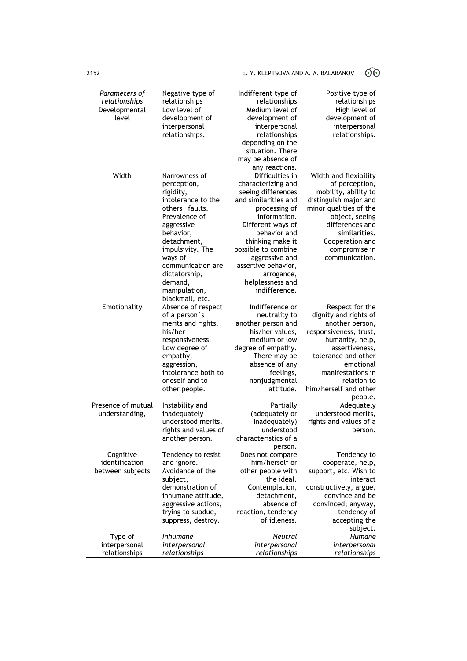# 2152 **E. Y. KLEPTSOVA AND A. A. BALABANOV**  $\widehat{O}$

| Parameters of      | Negative type of     | Indifferent type of                 | Positive type of       |
|--------------------|----------------------|-------------------------------------|------------------------|
| relationships      | relationships        | relationships                       | relationships          |
| Developmental      | Low level of         | Medium level of                     | High level of          |
| level              | development of       | development of                      | development of         |
|                    | interpersonal        | interpersonal                       | interpersonal          |
|                    | relationships.       | relationships                       | relationships.         |
|                    |                      | depending on the                    |                        |
|                    |                      | situation. There                    |                        |
|                    |                      | may be absence of<br>any reactions. |                        |
| Width              | Narrowness of        | Difficulties in                     | Width and flexibility  |
|                    | perception,          | characterizing and                  | of perception,         |
|                    | rigidity,            | seeing differences                  | mobility, ability to   |
|                    | intolerance to the   | and similarities and                | distinguish major and  |
|                    | others faults.       | processing of                       | minor qualities of the |
|                    | Prevalence of        | information.                        | object, seeing         |
|                    | aggressive           | Different ways of                   | differences and        |
|                    | behavior,            | behavior and                        | similarities.          |
|                    | detachment,          | thinking make it                    | Cooperation and        |
|                    | impulsivity. The     | possible to combine                 | compromise in          |
|                    | ways of              | aggressive and                      | communication.         |
|                    | communication are    | assertive behavior,                 |                        |
|                    | dictatorship,        | arrogance,                          |                        |
|                    | demand,              | helplessness and                    |                        |
|                    | manipulation,        | indifference.                       |                        |
|                    | blackmail, etc.      |                                     |                        |
| Emotionality       | Absence of respect   | Indifference or                     | Respect for the        |
|                    | of a person's        | neutrality to                       | dignity and rights of  |
|                    | merits and rights,   | another person and                  | another person,        |
|                    | his/her              | his/her values,                     | responsiveness, trust, |
|                    | responsiveness,      | medium or low                       | humanity, help,        |
|                    | Low degree of        | degree of empathy.                  | assertiveness,         |
|                    | empathy,             | There may be                        | tolerance and other    |
|                    | aggression,          | absence of any                      | emotional              |
|                    | intolerance both to  | feelings,                           | manifestations in      |
|                    | oneself and to       | nonjudgmental<br>attitude.          | relation to            |
|                    | other people.        |                                     | him/herself and other  |
| Presence of mutual | Instability and      | Partially                           | people.<br>Adequately  |
| understanding,     | inadequately         | (adequately or                      | understood merits,     |
|                    | understood merits,   | inadequately)                       | rights and values of a |
|                    | rights and values of | understood                          | person.                |
|                    | another person.      | characteristics of a                |                        |
|                    |                      | person.                             |                        |
| Cognitive          | Tendency to resist   | Does not compare                    | Tendency to            |
| identification     | and ignore.          | him/herself or                      | cooperate, help,       |
| between subjects   | Avoidance of the     | other people with                   | support, etc. Wish to  |
|                    | subject,             | the ideal.                          | interact               |
|                    | demonstration of     | Contemplation,                      | constructively, argue, |
|                    | inhumane attitude,   | detachment,                         | convince and be        |
|                    | aggressive actions,  | absence of                          | convinced; anyway,     |
|                    | trying to subdue,    | reaction, tendency                  | tendency of            |
|                    | suppress, destroy.   | of idleness.                        | accepting the          |
|                    |                      |                                     | subject.               |
| Type of            | <i>Inhumane</i>      | <b>Neutral</b>                      | Humane                 |
| interpersonal      | interpersonal        | interpersonal                       | interpersonal          |
| relationships      | relationships        | relationships                       | relationships          |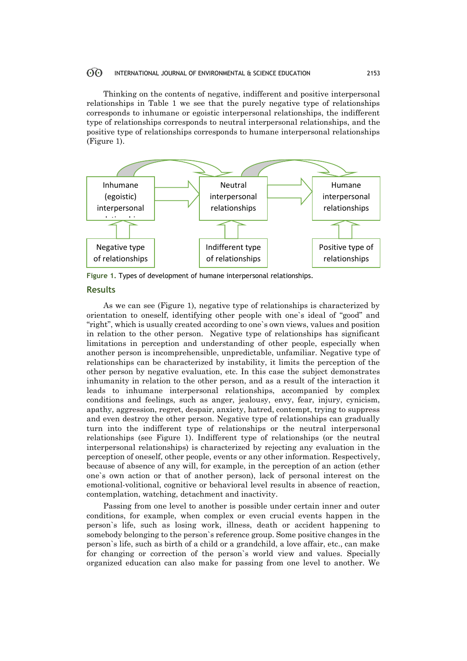#### 60 INTERNATIONAL JOURNAL OF ENVIRONMENTAL & SCIENCE EDUCATION 2153

Thinking on the contents of negative, indifferent and positive interpersonal relationships in Table 1 we see that the purely negative type of relationships corresponds to inhumane or egoistic interpersonal relationships, the indifferent type of relationships corresponds to neutral interpersonal relationships, and the positive type of relationships corresponds to humane interpersonal relationships (Figure 1).



**Figure 1.** Types of development of humane interpersonal relationships.

# **Results**

As we can see (Figure 1), negative type of relationships is characterized by orientation to oneself, identifying other people with one`s ideal of "good" and "right", which is usually created according to one`s own views, values and position in relation to the other person. Negative type of relationships has significant limitations in perception and understanding of other people, especially when another person is incomprehensible, unpredictable, unfamiliar. Negative type of relationships can be characterized by instability, it limits the perception of the other person by negative evaluation, etc. In this case the subject demonstrates inhumanity in relation to the other person, and as a result of the interaction it leads to inhumane interpersonal relationships, accompanied by complex conditions and feelings, such as anger, jealousy, envy, fear, injury, cynicism, apathy, aggression, regret, despair, anxiety, hatred, contempt, trying to suppress and even destroy the other person. Negative type of relationships can gradually turn into the indifferent type of relationships or the neutral interpersonal relationships (see Figure 1). Indifferent type of relationships (or the neutral interpersonal relationships) is characterized by rejecting any evaluation in the perception of oneself, other people, events or any other information. Respectively, because of absence of any will, for example, in the perception of an action (ether one`s own action or that of another person), lack of personal interest on the emotional-volitional, cognitive or behavioral level results in absence of reaction, contemplation, watching, detachment and inactivity.

Passing from one level to another is possible under certain inner and outer conditions, for example, when complex or even crucial events happen in the person`s life, such as losing work, illness, death or accident happening to somebody belonging to the person`s reference group. Some positive changes in the person`s life, such as birth of a child or a grandchild, a love affair, etc., can make for changing or correction of the person`s world view and values. Specially organized education can also make for passing from one level to another. We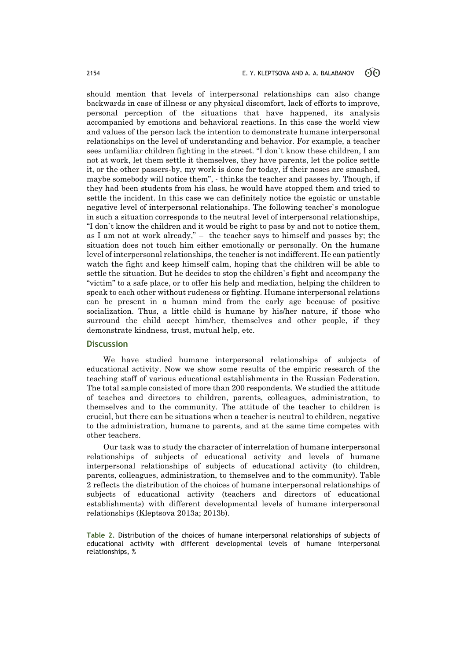should mention that levels of interpersonal relationships can also change backwards in case of illness or any physical discomfort, lack of efforts to improve, personal perception of the situations that have happened, its analysis accompanied by emotions and behavioral reactions. In this case the world view and values of the person lack the intention to demonstrate humane interpersonal relationships on the level of understanding and behavior. For example, a teacher sees unfamiliar children fighting in the street. "I don`t know these children, I am not at work, let them settle it themselves, they have parents, let the police settle it, or the other passers-by, my work is done for today, if their noses are smashed, maybe somebody will notice them", - thinks the teacher and passes by. Though, if they had been students from his class, he would have stopped them and tried to settle the incident. In this case we can definitely notice the egoistic or unstable negative level of interpersonal relationships. The following teacher`s monologue in such a situation corresponds to the neutral level of interpersonal relationships, "I don`t know the children and it would be right to pass by and not to notice them, as I am not at work already," – the teacher says to himself and passes by; the situation does not touch him either emotionally or personally. On the humane level of interpersonal relationships, the teacher is not indifferent. He can patiently watch the fight and keep himself calm, hoping that the children will be able to settle the situation. But he decides to stop the children`s fight and accompany the "victim" to a safe place, or to offer his help and mediation, helping the children to speak to each other without rudeness or fighting. Humane interpersonal relations can be present in a human mind from the early age because of positive socialization. Thus, a little child is humane by his/her nature, if those who surround the child accept him/her, themselves and other people, if they demonstrate kindness, trust, mutual help, etc.

### **Discussion**

We have studied humane interpersonal relationships of subjects of educational activity. Now we show some results of the empiric research of the teaching staff of various educational establishments in the Russian Federation. The total sample consisted of more than 200 respondents. We studied the attitude of teaches and directors to children, parents, colleagues, administration, to themselves and to the community. The attitude of the teacher to children is crucial, but there can be situations when a teacher is neutral to children, negative to the administration, humane to parents, and at the same time competes with other teachers.

Our task was to study the character of interrelation of humane interpersonal relationships of subjects of educational activity and levels of humane interpersonal relationships of subjects of educational activity (to children, parents, colleagues, administration, to themselves and to the community). Table 2 reflects the distribution of the choices of humane interpersonal relationships of subjects of educational activity (teachers and directors of educational establishments) with different developmental levels of humane interpersonal relationships (Kleptsova 2013a; 2013b).

**Table 2.** Distribution of the choices of humane interpersonal relationships of subjects of educational activity with different developmental levels of humane interpersonal relationships, %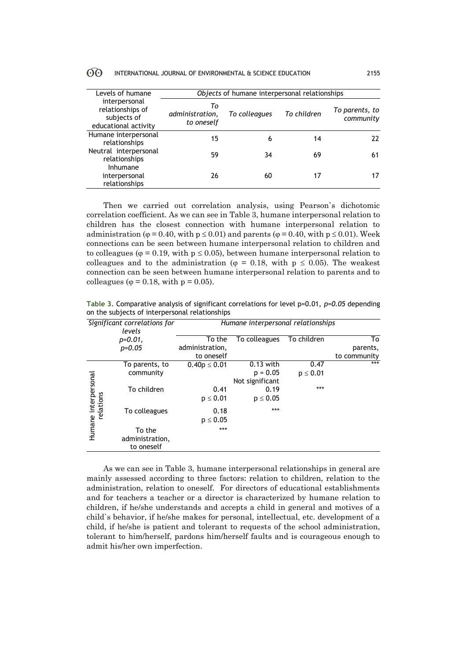#### $\odot$ INTERNATIONAL JOURNAL OF ENVIRONMENTAL & SCIENCE EDUCATION 2155

| Levels of humane<br>interpersonal<br>relationships of<br>subjects of<br>educational activity | Objects of humane interpersonal relationships |               |             |                             |
|----------------------------------------------------------------------------------------------|-----------------------------------------------|---------------|-------------|-----------------------------|
|                                                                                              | Τo<br>administration,<br>to oneself           | To colleagues | To children | To parents, to<br>community |
| Humane interpersonal<br>relationships                                                        | 15                                            | 6             | 14          | 22                          |
| Neutral interpersonal<br>relationships<br>Inhumane                                           | 59                                            | 34            | 69          | 61                          |
| interpersonal<br>relationships                                                               | 26                                            | 60            | 17          | 17                          |

Then we carried out correlation analysis, using Pearson`s dichotomic correlation coefficient. As we can see in Table 3, humane interpersonal relation to children has the closest connection with humane interpersonal relation to administration ( $\varphi$  = 0.40, with  $p \le 0.01$ ) and parents ( $\varphi$  = 0.40, with  $p \le 0.01$ ). Week connections can be seen between humane interpersonal relation to children and to colleagues ( $\varphi = 0.19$ , with  $p \le 0.05$ ), between humane interpersonal relation to colleagues and to the administration ( $\varphi = 0.18$ , with  $p \le 0.05$ ). The weakest connection can be seen between humane interpersonal relation to parents and to colleagues ( $\varphi$  = 0.18, with  $p = 0.05$ ).

|                                   | Significant correlations for<br>levels  | Humane interpersonal relationships |                 |               |                          |
|-----------------------------------|-----------------------------------------|------------------------------------|-----------------|---------------|--------------------------|
|                                   | $p=0.01$ ,                              | To the                             | To colleagues   | To children   | To                       |
|                                   | $p=0.05$                                | administration,<br>to oneself      |                 |               | parents,<br>to community |
|                                   | To parents, to                          | $0.40p \le 0.01$                   | $0.13$ with     | 0.47          | ***                      |
| Humane interpersonal<br>relations | community                               |                                    | $p = 0.05$      | $p \leq 0.01$ |                          |
|                                   |                                         |                                    | Not significant |               |                          |
|                                   | To children                             | 0.41                               | 0.19            | ***           |                          |
|                                   |                                         | $p \leq 0.01$                      | $p \leq 0.05$   |               |                          |
|                                   | To colleagues                           | 0.18                               | ***             |               |                          |
|                                   |                                         | $p \leq 0.05$                      |                 |               |                          |
|                                   | To the<br>administration,<br>to oneself | ***                                |                 |               |                          |

**Table 3.** Comparative analysis of significant correlations for level р=0.01, *р=0.05* depending on the subjects of interpersonal relationships

As we can see in Table 3, humane interpersonal relationships in general are mainly assessed according to three factors: relation to children, relation to the administration, relation to oneself. For directors of educational establishments and for teachers a teacher or a director is characterized by humane relation to children, if he/she understands and accepts a child in general and motives of a child`s behavior, if he/she makes for personal, intellectual, etc. development of a child, if he/she is patient and tolerant to requests of the school administration, tolerant to him/herself, pardons him/herself faults and is courageous enough to admit his/her own imperfection.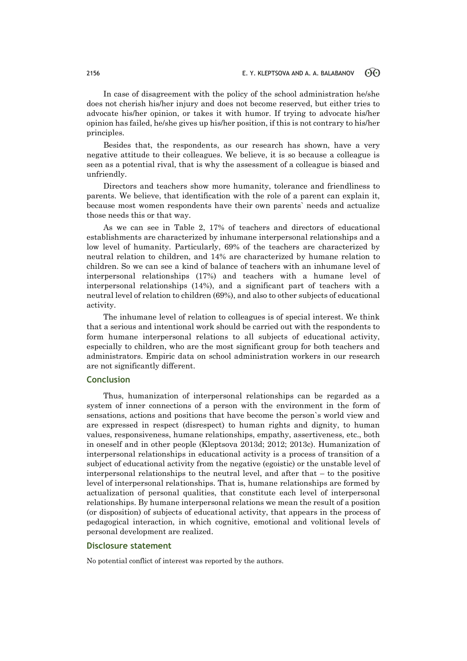In case of disagreement with the policy of the school administration he/she does not cherish his/her injury and does not become reserved, but either tries to advocate his/her opinion, or takes it with humor. If trying to advocate his/her opinion has failed, he/she gives up his/her position, if this is not contrary to his/her principles.

Besides that, the respondents, as our research has shown, have a very negative attitude to their colleagues. We believe, it is so because a colleague is seen as a potential rival, that is why the assessment of a colleague is biased and unfriendly.

Directors and teachers show more humanity, tolerance and friendliness to parents. We believe, that identification with the role of a parent can explain it, because most women respondents have their own parents` needs and actualize those needs this or that way.

As we can see in Table 2, 17% of teachers and directors of educational establishments are characterized by inhumane interpersonal relationships and a low level of humanity. Particularly, 69% of the teachers are characterized by neutral relation to children, and 14% are characterized by humane relation to children. So we can see a kind of balance of teachers with an inhumane level of interpersonal relationships (17%) and teachers with a humane level of interpersonal relationships (14%), and a significant part of teachers with a neutral level of relation to children (69%), and also to other subjects of educational activity.

The inhumane level of relation to colleagues is of special interest. We think that a serious and intentional work should be carried out with the respondents to form humane interpersonal relations to all subjects of educational activity, especially to children, who are the most significant group for both teachers and administrators. Empiric data on school administration workers in our research are not significantly different.

# **Conclusion**

Thus, humanization of interpersonal relationships can be regarded as a system of inner connections of a person with the environment in the form of sensations, actions and positions that have become the person`s world view and are expressed in respect (disrespect) to human rights and dignity, to human values, responsiveness, humane relationships, empathy, assertiveness, etc., both in oneself and in other people (Kleptsova 2013d; 2012; 2013c). Humanization of interpersonal relationships in educational activity is a process of transition of a subject of educational activity from the negative (egoistic) or the unstable level of interpersonal relationships to the neutral level, and after that  $-$  to the positive level of interpersonal relationships. That is, humane relationships are formed by actualization of personal qualities, that constitute each level of interpersonal relationships. By humane interpersonal relations we mean the result of a position (or disposition) of subjects of educational activity, that appears in the process of pedagogical interaction, in which cognitive, emotional and volitional levels of personal development are realized.

### **Disclosure statement**

No potential conflict of interest was reported by the authors.